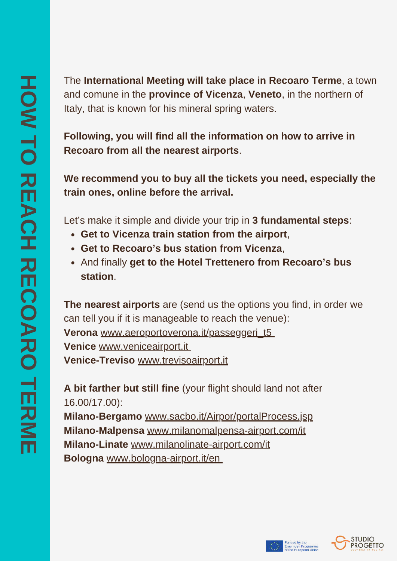The **International Meeting will take place in Recoaro Terme**, a town and comune in the **province of Vicenza**, **Veneto**, in the northern of Italy, that is known for his mineral spring waters.

**Following, you will find all the information on how to arrive in Recoaro from all the nearest airports**.

**We recommend you to buy all the tickets you need, especially the train ones, online before the arrival.**

Let's make it simple and divide your trip in **3 fundamental steps**:

- **Get to Vicenza train station from the airport**,
- **Get to Recoaro's bus station from Vicenza**,
- And finally **get to the Hotel Trettenero from Recoaro's bus station**.

**The nearest airports** are (send us the options you find, in order we can tell you if it is manageable to reach the venue): **Verona** [www.aeroportoverona.it/passeggeri\\_t5](http://www.aeroportoverona.it/passeggeri_t5) **Venice** [www.veniceairport.it](http://www.veniceairport.it/) **Venice-Treviso** [www.trevisoairport.it](http://www.trevisoairport.it/)

**A bit farther but still fine** (your flight should land not after 16.00/17.00):

**Milano-Bergamo** [www.sacbo.it/Airpor/portalProcess.jsp](http://www.sacbo.it/Airpor/portalProcess.jsp) **Milano-Malpensa** [www.milanomalpensa-airport.com/it](http://www.milanomalpensa-airport.com/it) **Milano-Linate** [www.milanolinate-airport.com/it](http://www.milanolinate-airport.com/it) **Bologna** [www.bologna-airport.it/en](http://www.bologna-airport.it/en)



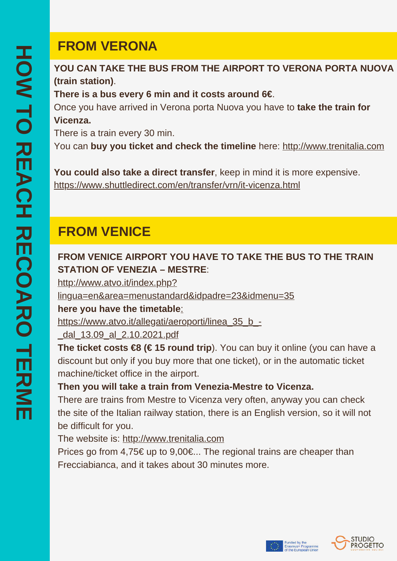## **FROM VERONA**

## **YOU CAN TAKE THE BUS FROM THE AIRPORT TO VERONA PORTA NUOVA (train station)**.

#### **There is a bus every 6 min and it costs around 6€**.

Once you have arrived in Verona porta Nuova you have to **take the train for Vicenza.**

There is a train every 30 min.

You can **buy you ticket and check the timeline** here: [http://www.trenitalia.com](http://www.trenitalia.com/)

**You could also take a direct transfer**, keep in mind it is more expensive. <https://www.shuttledirect.com/en/transfer/vrn/it-vicenza.html>

# **FROM VENICE**

#### **FROM VENICE AIRPORT YOU HAVE TO TAKE THE BUS TO THE TRAIN STATION OF VENEZIA – MESTRE**:

http://www.atvo.it/index.php?

[lingua=en&area=menustandard&idpadre=23&idmenu=35](http://www.atvo.it/index.php?lingua=en&area=menustandard&idpadre=23&idmenu=35%20here%20you%20have%20the%20timetable:%20https://www.atvo.it/allegati/aeroporti/linea_35_b_-_dal_13.09_al_2.10.2021.pdf)

#### **here you have the timetable**:

[https://www.atvo.it/allegati/aeroporti/linea\\_35\\_b\\_-](http://www.atvo.it/index.php?lingua=en&area=menustandard&idpadre=23&idmenu=35%20here%20you%20have%20the%20timetable:%20https://www.atvo.it/allegati/aeroporti/linea_35_b_-_dal_13.09_al_2.10.2021.pdf)

\_dal\_13.09\_al\_2.10.2021.pdf

**The ticket costs €8 (€ 15 round trip**). You can buy it online (you can have a discount but only if you buy more that one ticket), or in the automatic ticket machine/ticket office in the airport.

#### **Then you will take a train from Venezia-Mestre to Vicenza.**

There are trains from Mestre to Vicenza very often, anyway you can check the site of the Italian railway station, there is an English version, so it will not be difficult for you. FRECORD VENCINCT THE BUS FROM THE AIRPORT<br>
There is a buse every 6 min and it costs around 66<br>
Once you have arrived in Verona porta Nuova you have the<br>
Transition of the station every 30 min.<br>
There is a train every 30 mi

#### The website is: [http://www.trenitalia.com](http://www.trenitalia.com/)

Prices go from 4,75€ up to 9,00€... The regional trains are cheaper than



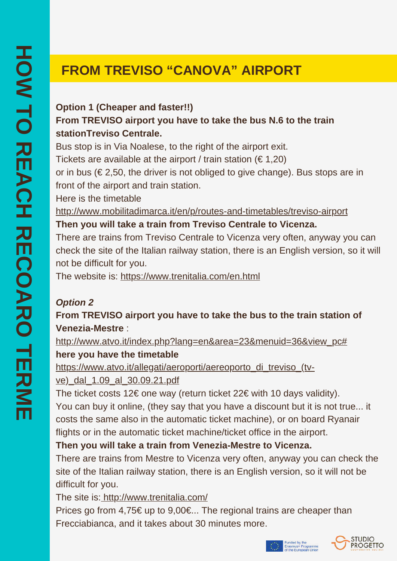## **FROM TREVISO "CANOVA" AIRPORT**

## **Option 1 (Cheaper and faster!!) From TREVISO airport you have to take the bus N.6 to the train stationTreviso Centrale.**

Bus stop is in Via Noalese, to the right of the airport exit. Tickets are available at the airport / train station ( $\epsilon$  1,20) or in bus ( $\epsilon$  2,50, the driver is not obliged to give change). Bus stops are in front of the airport and train station. Here is the timetable

<http://www.mobilitadimarca.it/en/p/routes-and-timetables/treviso-airport>

**Then you will take a train from Treviso Centrale to Vicenza.**

There are trains from Treviso Centrale to Vicenza very often, anyway you can check the site of the Italian railway station, there is an English version, so it will not be difficult for you.

The website is: <https://www.trenitalia.com/en.html>

#### *Option 2*

#### **From TREVISO airport you have to take the bus to the train station of Venezia-Mestre** :

[http://www.atvo.it/index.php?lang=en&area=23&menuid=36&view\\_pc#](http://www.atvo.it/index.php?lang=en&area=23&menuid=36&view_pc) **here you have the timetable**

https://www.atvo.it/allegati/aeroporti/aereoporto di treviso (tvve)\_dal\_1.09\_al\_30.09.21.pdf

The ticket costs 12€ one way (return ticket 22€ with 10 days validity). You can buy it online, (they say that you have a discount but it is not true... it costs the same also in the automatic ticket machine), or on board Ryanair flights or in the automatic ticket machine/ticket office in the airport.

#### **Then you will take a train from Venezia-Mestre to Vicenza.**

There are trains from Mestre to Vicenza very often, anyway you can check the site of the Italian railway station, there is an English version, so it will not be difficult for you.

The site is: <http://www.trenitalia.com/>

Prices go from 4,75€ up to 9,00€... The regional trains are cheaper than Frecciabianca, and it takes about 30 minutes more.



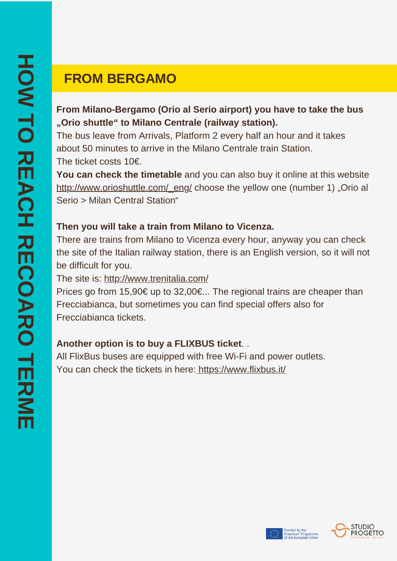## **FROM BERGAMO**

#### **From Milano-Bergamo (Orio al Serio airport) you have to take the bus "Orio shuttle" to Milano Centrale (railway station).**

The bus leave from Arrivals, Platform 2 every half an hour and it takes about 50 minutes to arrive in the Milano Centrale train Station. The ticket costs 10€.

**You can check the timetable** and you can also buy it online at this website [http://www.orioshuttle.com/\\_eng/](http://www.orioshuttle.com/_eng/) choose the yellow one (number 1) "Orio al Serio > Milan Central Station"

#### **Then you will take a train from Milano to Vicenza.**

There are trains from Milano to Vicenza every hour, anyway you can check the site of the Italian railway station, there is an English version, so it will not be difficult for you.

The site is: <http://www.trenitalia.com/>

Prices go from 15,90€ up to 32,00€... The regional trains are cheaper than Frecciabianca, but sometimes you can find special offers also for Frecciabianca tickets.

#### **Another option is to buy a FLIXBUS ticket**. .

All FlixBus buses are equipped with free Wi-Fi and power outlets. You can check the tickets in here: <https://www.flixbus.it/>



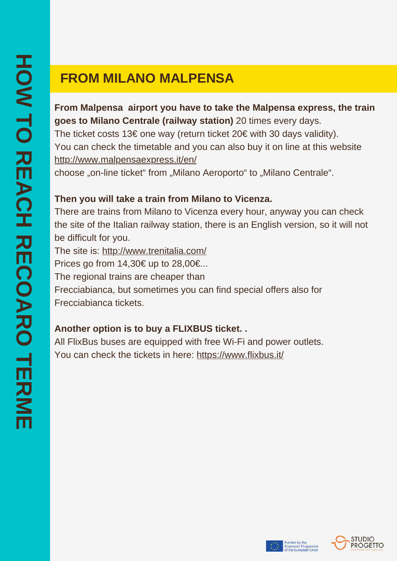## **FROM MILANO MALPENSA**

#### **From Malpensa airport you have to take the Malpensa express, the train goes to Milano Centrale (railway station)** 20 times every days.

The ticket costs 13€ one way (return ticket 20€ with 30 days validity). You can check the timetable and you can also buy it on line at this website [http://www.malpensaexpress.it/en/](http://www.malpensaexpress.it/en/http:/www.malpensaexpress.it/en/)

choose "on-line ticket" from "Milano Aeroporto" to "Milano Centrale".

#### **Then you will take a train from Milano to Vicenza.**

There are trains from Milano to Vicenza every hour, anyway you can check the site of the Italian railway station, there is an English version, so it will not be difficult for you.

The site is: <http://www.trenitalia.com/> Prices go from 14,30€ up to 28,00€...

The regional trains are cheaper than

Frecciabianca, but sometimes you can find special offers also for Frecciabianca tickets.

#### **Another option is to buy a FLIXBUS ticket. .**

All FlixBus buses are equipped with free Wi-Fi and power outlets. You can check the tickets in here[:](https://www.flixbus.it/) <https://www.flixbus.it/>



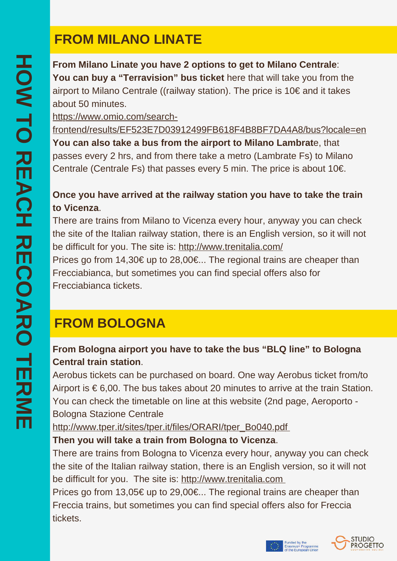# **FROM MILANO LINATE**

**From Milano Linate you have 2 options to get to Milano Centrale**: **You can buy a "Terravision" bus ticket** here that will take you from the airport to Milano Centrale ((railway station). The price is 10€ and it takes about 50 minutes.

https://www.omio.com/search-

[frontend/results/EF523E7D03912499FB618F4B8BF7DA4A8/bus?locale=en](https://www.omio.com/search-frontend/results/EF523E7D03912499FB618F4B8BF7DA4A8/bus?locale=en) **You can also take a bus from the airport to Milano Lambrat**e, that passes every 2 hrs, and from there take a metro (Lambrate Fs) to Milano Centrale (Centrale Fs) that passes every 5 min. The price is about 10€.

## **Once you have arrived at the railway station you have to take the train to Vicenza**.

There are trains from Milano to Vicenza every hour, anyway you can check the site of the Italian railway station, there is an English version, so it will not be difficult for you. The site is: <http://www.trenitalia.com/> Prices go from 14,30€ up to 28,00€... The regional trains are cheaper than Frecciabianca, but sometimes you can find special offers also for Frecciabianca tickets.

# **FROM BOLOGNA**

## **From Bologna airport you have to take the bus "BLQ line" to Bologna Central train station**.

Aerobus tickets can be purchased on board. One way Aerobus ticket from/to Airport is  $\epsilon$  6,00. The bus takes about 20 minutes to arrive at the train Station. You can check the timetable on line at this website (2nd page, Aeroporto - Bologna Stazione Centrale

[http://www.tper.it/sites/tper.it/files/ORARI/tper\\_Bo040.pdf](http://www.tper.it/sites/tper.it/files/ORARI/tper_Bo040.pdf)

#### **Then you will take a train from Bologna to Vicenza**.

There are trains from Bologna to Vicenza every hour, anyway you can check the site of the Italian railway station, there is an English version, so it will not be difficult for you. The site is: [http://www.trenitalia.com](http://www.trenitalia.com/)

Prices go from 13,05€ up to 29,00€... The regional trains are cheaper than Freccia trains, but sometimes you can find special offers also for Freccia tickets.



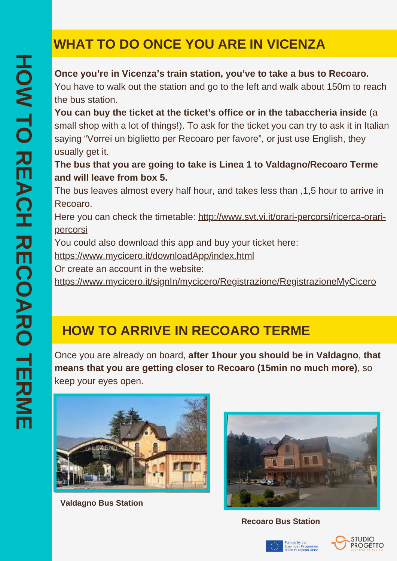# **WHAT TO DO ONCE YOU ARE IN VICENZA**

**Once you're in Vicenza's train station, you've to take a bus to Recoaro.**

You have to walk out the station and go to the left and walk about 150m to reach the bus station.

**You can buy the ticket at the ticket's office or in the tabaccheria inside** (a small shop with a lot of things!). To ask for the ticket you can try to ask it in Italian saying "Vorrei un biglietto per Recoaro per favore", or just use English, they usually get it.

#### **The bus that you are going to take is Linea 1 to Valdagno/Recoaro Terme and will leave from box 5.**

The bus leaves almost every half hour, and takes less than ,1,5 hour to arrive in Recoaro.

Here you can check the timetable: [http://www.svt.vi.it/orari-percorsi/ricerca-orari](http://www.svt.vi.it/orari-percorsi/ricerca-orari-percorsi)percorsi

You could also download this app and buy your ticket here:

<https://www.mycicero.it/downloadApp/index.html>

Or create an account in the website:

<https://www.mycicero.it/signIn/mycicero/Registrazione/RegistrazioneMyCicero>

# **HOW TO ARRIVE IN RECOARO TERME**

Once you are already on board, **after 1hour you should be in Valdagno**, **that means that you are getting closer to Recoaro (15min no much more)**, so keep your eyes open.



**Valdagno Bus Station**



#### **Recoaro Bus Station**